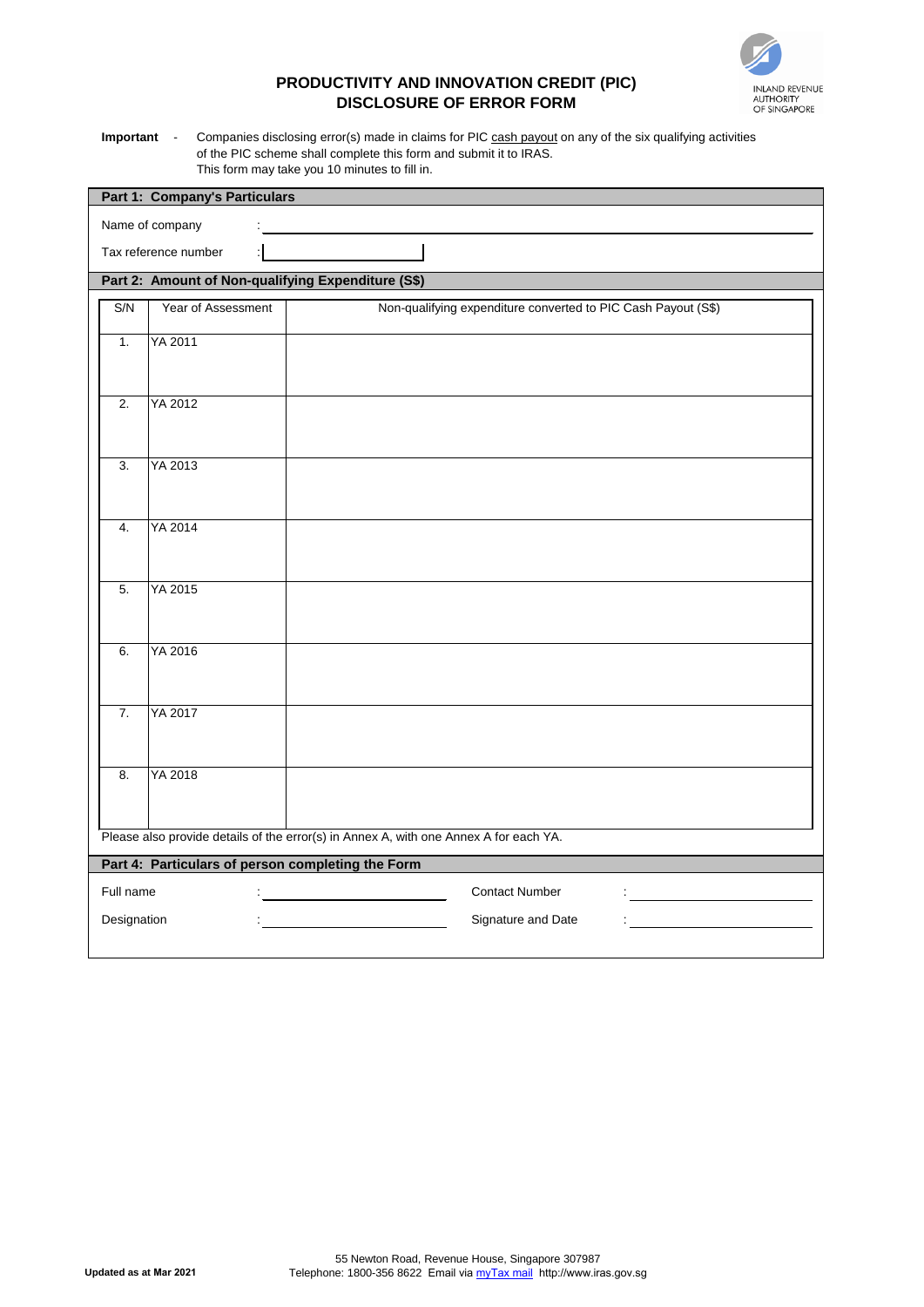**Updated as at Mar 2021**

55 Newton Road, Revenue House, Singapore 307987 Telephone: 1800-356 8622 Email via <u>myTax mail</u> http://www.iras.gov.sg

| <b>Part 1: Company's Particulars</b>                                                  |                    |                                                               |  |  |  |  |  |  |  |
|---------------------------------------------------------------------------------------|--------------------|---------------------------------------------------------------|--|--|--|--|--|--|--|
| Name of company                                                                       |                    |                                                               |  |  |  |  |  |  |  |
| Tax reference number                                                                  |                    |                                                               |  |  |  |  |  |  |  |
| Part 2: Amount of Non-qualifying Expenditure (S\$)                                    |                    |                                                               |  |  |  |  |  |  |  |
| S/N                                                                                   | Year of Assessment | Non-qualifying expenditure converted to PIC Cash Payout (S\$) |  |  |  |  |  |  |  |
| 1.                                                                                    | YA 2011            |                                                               |  |  |  |  |  |  |  |
| 2.                                                                                    | YA 2012            |                                                               |  |  |  |  |  |  |  |
| 3.                                                                                    | YA 2013            |                                                               |  |  |  |  |  |  |  |
| 4.                                                                                    | YA 2014            |                                                               |  |  |  |  |  |  |  |
| 5.                                                                                    | YA 2015            |                                                               |  |  |  |  |  |  |  |
| 6.                                                                                    | YA 2016            |                                                               |  |  |  |  |  |  |  |
| 7.                                                                                    | YA 2017            |                                                               |  |  |  |  |  |  |  |
| 8.                                                                                    | YA 2018            |                                                               |  |  |  |  |  |  |  |
| Please also provide details of the error(s) in Annex A, with one Annex A for each YA. |                    |                                                               |  |  |  |  |  |  |  |
| Part 4: Particulars of person completing the Form                                     |                    |                                                               |  |  |  |  |  |  |  |
| Full name                                                                             |                    | <b>Contact Number</b>                                         |  |  |  |  |  |  |  |
| Designation                                                                           |                    | Signature and Date                                            |  |  |  |  |  |  |  |
|                                                                                       |                    |                                                               |  |  |  |  |  |  |  |

**Important** - Companies disclosing error(s) made in claims for PIC cash payout on any of the six qualifying activities of the PIC scheme shall complete this form and submit it to IRAS. This form may take you 10 minutes to fill in.



## **PRODUCTIVITY AND INNOVATION CREDIT (PIC) DISCLOSURE OF ERROR FORM**